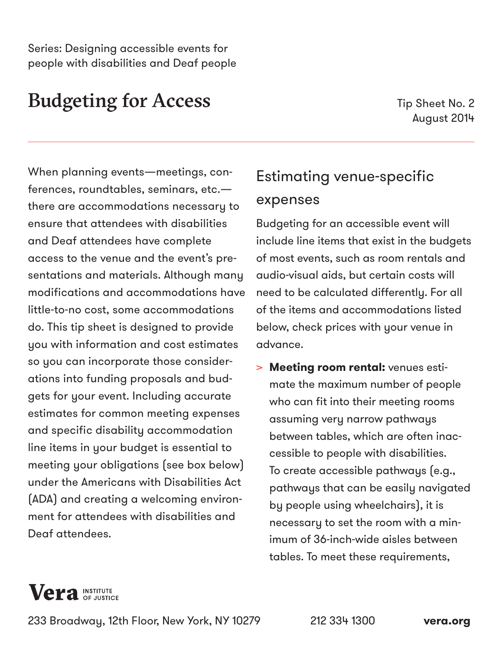Series: Designing accessible events for people with disabilities and Deaf people

# Budgeting for Access

Tip Sheet No. 2 August 2014

When planning events—meetings, conferences, roundtables, seminars, etc. there are accommodations necessary to ensure that attendees with disabilities and Deaf attendees have complete access to the venue and the event's presentations and materials. Although many modifications and accommodations have little-to-no cost, some accommodations do. This tip sheet is designed to provide you with information and cost estimates so you can incorporate those considerations into funding proposals and budgets for your event. Including accurate estimates for common meeting expenses and specific disability accommodation line items in your budget is essential to meeting your obligations (see box below) under the Americans with Disabilities Act (ADA) and creating a welcoming environment for attendees with disabilities and Deaf attendees.

## Estimating venue-specific expenses

Budgeting for an accessible event will include line items that exist in the budgets of most events, such as room rentals and audio-visual aids, but certain costs will need to be calculated differently. For all of the items and accommodations listed below, check prices with your venue in advance.

> **Meeting room rental:** venues estimate the maximum number of people who can fit into their meeting rooms assuming very narrow pathways between tables, which are often inaccessible to people with disabilities. To create accessible pathways (e.g., pathways that can be easily navigated by people using wheelchairs), it is necessary to set the room with a minimum of 36-inch-wide aisles between tables. To meet these requirements,



233 Broadway, 12th Floor, New York, NY 10279 212 334 1300 **[vera.org](http://vera.org)**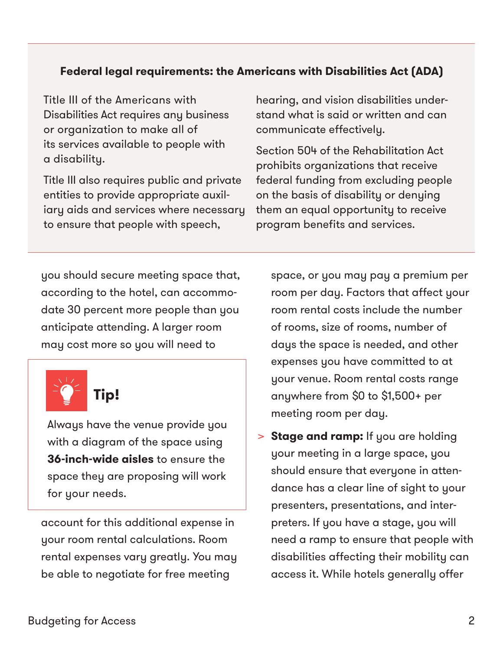### **Federal legal requirements: the Americans with Disabilities Act (ADA)**

Title III of the Americans with Disabilities Act requires any business or organization to make all of its services available to people with a disability.

Title III also requires public and private entities to provide appropriate auxiliary aids and services where necessary to ensure that people with speech,

hearing, and vision disabilities understand what is said or written and can communicate effectively.

Section 504 of the Rehabilitation Act prohibits organizations that receive federal funding from excluding people on the basis of disability or denying them an equal opportunity to receive program benefits and services.

you should secure meeting space that, according to the hotel, can accommodate 30 percent more people than you anticipate attending. A larger room may cost more so you will need to



Always have the venue provide you with a diagram of the space using **36-inch-wide aisles** to ensure the space they are proposing will work for your needs.

account for this additional expense in your room rental calculations. Room rental expenses vary greatly. You may be able to negotiate for free meeting

space, or you may pay a premium per room per day. Factors that affect your room rental costs include the number of rooms, size of rooms, number of days the space is needed, and other expenses you have committed to at your venue. Room rental costs range anywhere from \$0 to \$1,500+ per meeting room per day.

> **Stage and ramp:** If you are holding your meeting in a large space, you should ensure that everyone in attendance has a clear line of sight to your presenters, presentations, and interpreters. If you have a stage, you will need a ramp to ensure that people with disabilities affecting their mobility can access it. While hotels generally offer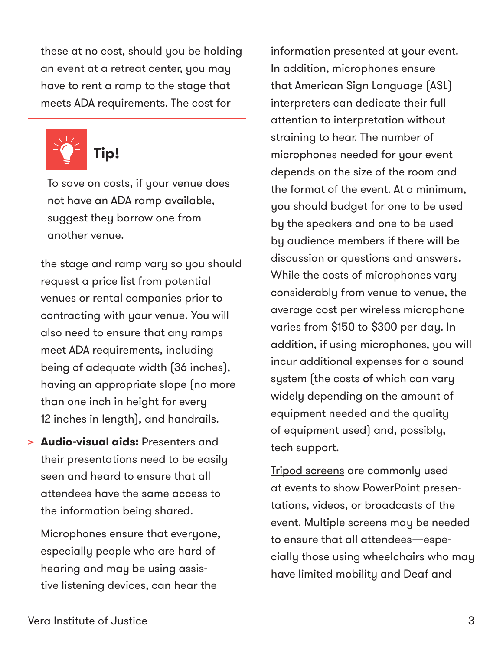these at no cost, should you be holding an event at a retreat center, you may have to rent a ramp to the stage that meets ADA requirements. The cost for



To save on costs, if your venue does not have an ADA ramp available, suggest they borrow one from another venue.

the stage and ramp vary so you should request a price list from potential venues or rental companies prior to contracting with your venue. You will also need to ensure that any ramps meet ADA requirements, including being of adequate width (36 inches), having an appropriate slope (no more than one inch in height for every 12 inches in length), and handrails.

> **Audio-visual aids:** Presenters and their presentations need to be easily seen and heard to ensure that all attendees have the same access to the information being shared.

Microphones ensure that everyone, especially people who are hard of hearing and may be using assistive listening devices, can hear the

information presented at your event. In addition, microphones ensure that American Sign Language (ASL) interpreters can dedicate their full attention to interpretation without straining to hear. The number of microphones needed for your event depends on the size of the room and the format of the event. At a minimum, you should budget for one to be used by the speakers and one to be used by audience members if there will be discussion or questions and answers. While the costs of microphones vary considerably from venue to venue, the average cost per wireless microphone varies from \$150 to \$300 per day. In addition, if using microphones, you will incur additional expenses for a sound system (the costs of which can vary widely depending on the amount of equipment needed and the quality of equipment used) and, possibly, tech support.

Tripod screens are commonly used at events to show PowerPoint presentations, videos, or broadcasts of the event. Multiple screens may be needed to ensure that all attendees—especially those using wheelchairs who may have limited mobility and Deaf and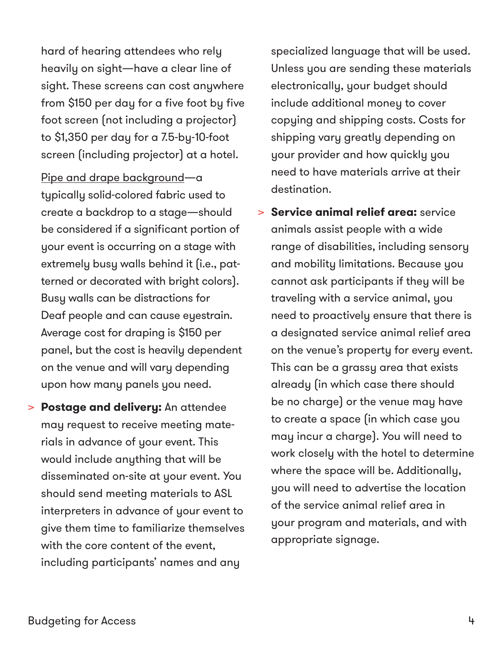hard of hearing attendees who rely heavily on sight—have a clear line of sight. These screens can cost anywhere from \$150 per day for a five foot by five foot screen (not including a projector) to \$1,350 per day for a 7.5-by-10-foot screen (including projector) at a hotel.

Pipe and drape background—a typically solid-colored fabric used to create a backdrop to a stage—should be considered if a significant portion of your event is occurring on a stage with extremely busy walls behind it (i.e., patterned or decorated with bright colors). Busy walls can be distractions for Deaf people and can cause eyestrain. Average cost for draping is \$150 per panel, but the cost is heavily dependent on the venue and will vary depending upon how many panels you need.

> **Postage and delivery:** An attendee may request to receive meeting materials in advance of your event. This would include anything that will be disseminated on-site at your event. You should send meeting materials to ASL interpreters in advance of your event to give them time to familiarize themselves with the core content of the event, including participants' names and any

specialized language that will be used. Unless you are sending these materials electronically, your budget should include additional money to cover copying and shipping costs. Costs for shipping vary greatly depending on your provider and how quickly you need to have materials arrive at their destination.

> **Service animal relief area:** service animals assist people with a wide range of disabilities, including sensory and mobility limitations. Because you cannot ask participants if they will be traveling with a service animal, you need to proactively ensure that there is a designated service animal relief area on the venue's property for every event. This can be a grassy area that exists already (in which case there should be no charge) or the venue may have to create a space (in which case you may incur a charge). You will need to work closely with the hotel to determine where the space will be. Additionally, you will need to advertise the location of the service animal relief area in your program and materials, and with appropriate signage.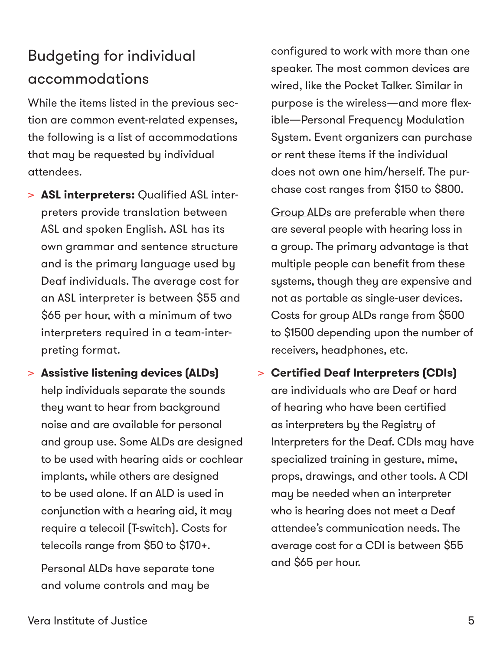# Budgeting for individual accommodations

While the items listed in the previous section are common event-related expenses, the following is a list of accommodations that may be requested by individual attendees.

- > **ASL interpreters:** Qualified ASL interpreters provide translation between ASL and spoken English. ASL has its own grammar and sentence structure and is the primary language used by Deaf individuals. The average cost for an ASL interpreter is between \$55 and \$65 per hour, with a minimum of two interpreters required in a team-interpreting format.
- > **Assistive listening devices (ALDs)** help individuals separate the sounds they want to hear from background noise and are available for personal and group use. Some ALDs are designed to be used with hearing aids or cochlear implants, while others are designed to be used alone. If an ALD is used in conjunction with a hearing aid, it may require a telecoil (T-switch). Costs for telecoils range from \$50 to \$170+.

Personal ALDs have separate tone and volume controls and may be

configured to work with more than one speaker. The most common devices are wired, like the Pocket Talker. Similar in purpose is the wireless—and more flexible—Personal Frequency Modulation System. Event organizers can purchase or rent these items if the individual does not own one him/herself. The purchase cost ranges from \$150 to \$800.

Group ALDs are preferable when there are several people with hearing loss in a group. The primary advantage is that multiple people can benefit from these systems, though they are expensive and not as portable as single-user devices. Costs for group ALDs range from \$500 to \$1500 depending upon the number of receivers, headphones, etc.

> **Certified Deaf Interpreters (CDIs)** are individuals who are Deaf or hard of hearing who have been certified as interpreters by the Registry of Interpreters for the Deaf. CDIs may have specialized training in gesture, mime, props, drawings, and other tools. A CDI may be needed when an interpreter who is hearing does not meet a Deaf attendee's communication needs. The average cost for a CDI is between \$55 and \$65 per hour.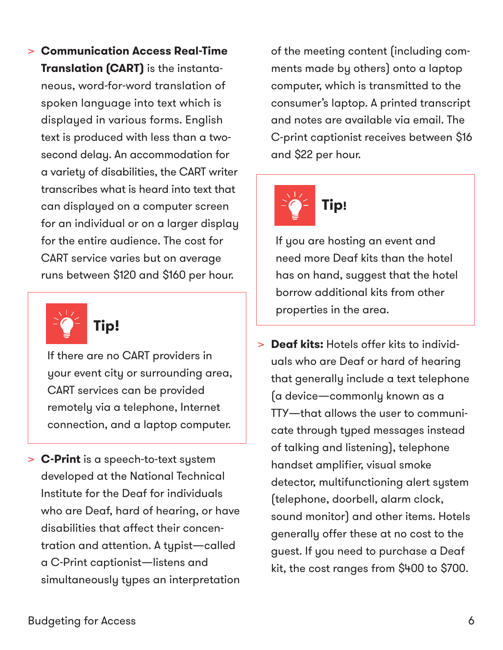> **Communication Access Real-Time Translation (CART)** is the instantaneous, word-for-word translation of spoken language into text which is displayed in various forms. English text is produced with less than a twosecond delay. An accommodation for a variety of disabilities, the CART writer transcribes what is heard into text that can displayed on a computer screen for an individual or on a larger display for the entire audience. The cost for CART service varies but on average runs between \$120 and \$160 per hour.



If there are no CART providers in your event city or surrounding area, CART services can be provided remotely via a telephone, Internet connection, and a laptop computer.

> **C-Print** is a speech-to-text system developed at the National Technical Institute for the Deaf for individuals who are Deaf, hard of hearing, or have disabilities that affect their concentration and attention. A typist—called a C-Print captionist—listens and simultaneously types an interpretation of the meeting content (including comments made by others) onto a laptop computer, which is transmitted to the consumer's laptop. A printed transcript and notes are available via email. The C-print captionist receives between \$16 and \$22 per hour.



If you are hosting an event and need more Deaf kits than the hotel has on hand, suggest that the hotel borrow additional kits from other properties in the area.

> **Deaf kits:** Hotels offer kits to individuals who are Deaf or hard of hearing that generally include a text telephone (a device—commonly known as a TTY—that allows the user to communicate through typed messages instead of talking and listening), telephone handset amplifier, visual smoke detector, multifunctioning alert system (telephone, doorbell, alarm clock, sound monitor) and other items. Hotels generally offer these at no cost to the guest. If you need to purchase a Deaf kit, the cost ranges from \$400 to \$700.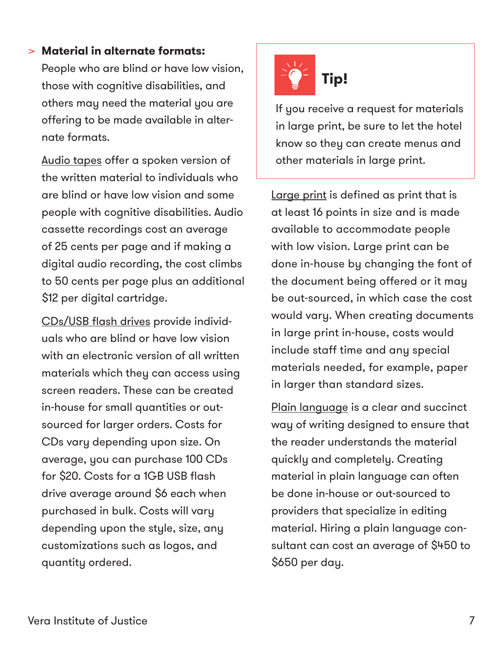### > **Material in alternate formats:**

People who are blind or have low vision, those with cognitive disabilities, and others may need the material you are offering to be made available in alternate formats.

Audio tapes offer a spoken version of the written material to individuals who are blind or have low vision and some people with cognitive disabilities. Audio cassette recordings cost an average of 25 cents per page and if making a digital audio recording, the cost climbs to 50 cents per page plus an additional \$12 per digital cartridge.

CDs/USB flash drives provide individuals who are blind or have low vision with an electronic version of all written materials which they can access using screen readers. These can be created in-house for small quantities or outsourced for larger orders. Costs for CDs vary depending upon size. On average, you can purchase 100 CDs for \$20. Costs for a 1GB USB flash drive average around \$6 each when purchased in bulk. Costs will vary depending upon the style, size, any customizations such as logos, and quantity ordered.



If you receive a request for materials in large print, be sure to let the hotel know so they can create menus and other materials in large print.

Large print is defined as print that is at least 16 points in size and is made available to accommodate people with low vision. Large print can be done in-house by changing the font of the document being offered or it may be out-sourced, in which case the cost would vary. When creating documents in large print in-house, costs would include staff time and any special materials needed, for example, paper in larger than standard sizes.

Plain language is a clear and succinct way of writing designed to ensure that the reader understands the material quickly and completely. Creating material in plain language can often be done in-house or out-sourced to providers that specialize in editing material. Hiring a plain language consultant can cost an average of \$450 to \$650 per day.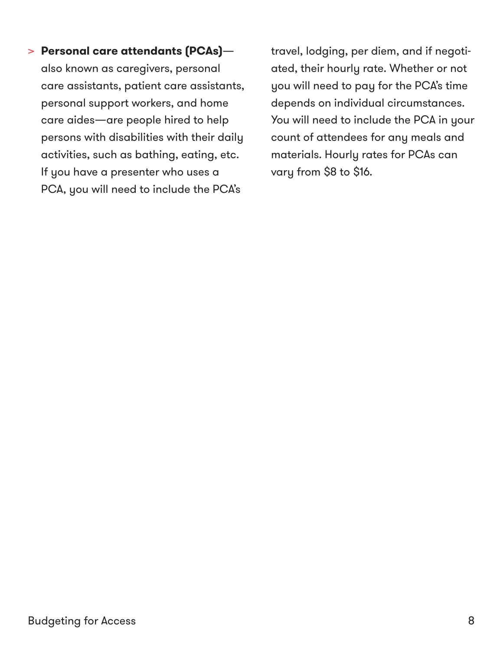### > **Personal care attendants (PCAs)**—

also known as caregivers, personal care assistants, patient care assistants, personal support workers, and home care aides—are people hired to help persons with disabilities with their daily activities, such as bathing, eating, etc. If you have a presenter who uses a PCA, you will need to include the PCA's

travel, lodging, per diem, and if negotiated, their hourly rate. Whether or not you will need to pay for the PCA's time depends on individual circumstances. You will need to include the PCA in your count of attendees for any meals and materials. Hourly rates for PCAs can vary from \$8 to \$16.